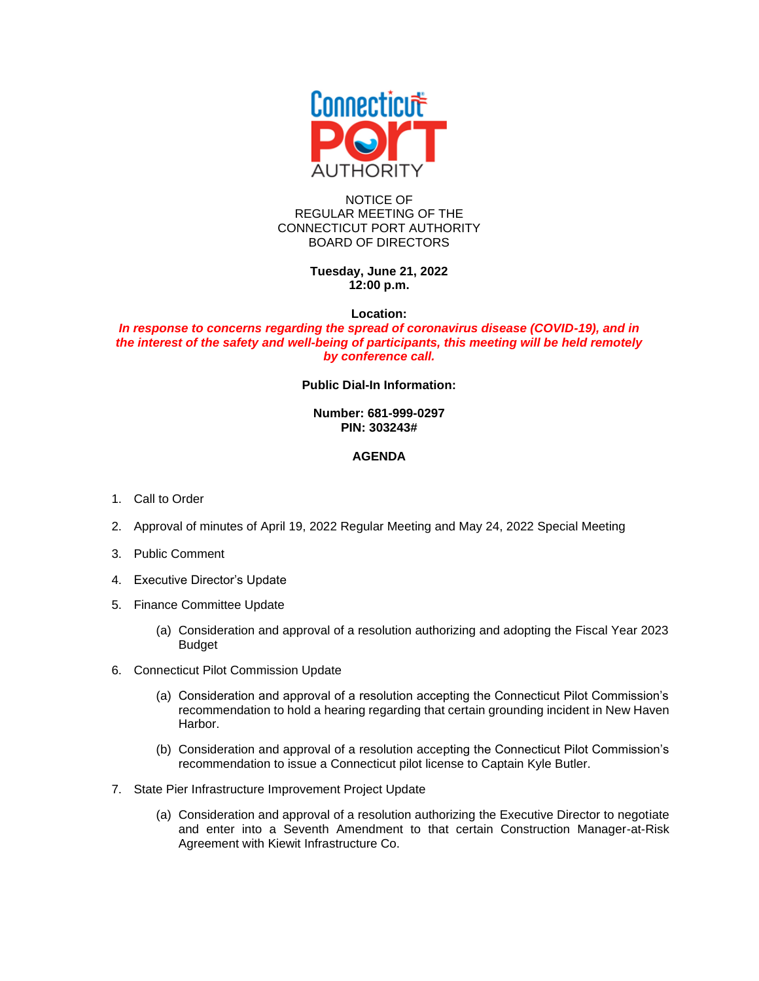

## NOTICE OF REGULAR MEETING OF THE CONNECTICUT PORT AUTHORITY BOARD OF DIRECTORS

**Tuesday, June 21, 2022 12:00 p.m.**

**Location:**

## *In response to concerns regarding the spread of coronavirus disease (COVID-19), and in the interest of the safety and well-being of participants, this meeting will be held remotely by conference call.*

**Public Dial-In Information:**

## **Number: 681-999-0297 PIN: 303243#**

## **AGENDA**

- 1. Call to Order
- 2. Approval of minutes of April 19, 2022 Regular Meeting and May 24, 2022 Special Meeting
- 3. Public Comment
- 4. Executive Director's Update
- 5. Finance Committee Update
	- (a) Consideration and approval of a resolution authorizing and adopting the Fiscal Year 2023 Budget
- 6. Connecticut Pilot Commission Update
	- (a) Consideration and approval of a resolution accepting the Connecticut Pilot Commission's recommendation to hold a hearing regarding that certain grounding incident in New Haven Harbor.
	- (b) Consideration and approval of a resolution accepting the Connecticut Pilot Commission's recommendation to issue a Connecticut pilot license to Captain Kyle Butler.
- 7. State Pier Infrastructure Improvement Project Update
	- (a) Consideration and approval of a resolution authorizing the Executive Director to negotiate and enter into a Seventh Amendment to that certain Construction Manager-at-Risk Agreement with Kiewit Infrastructure Co.